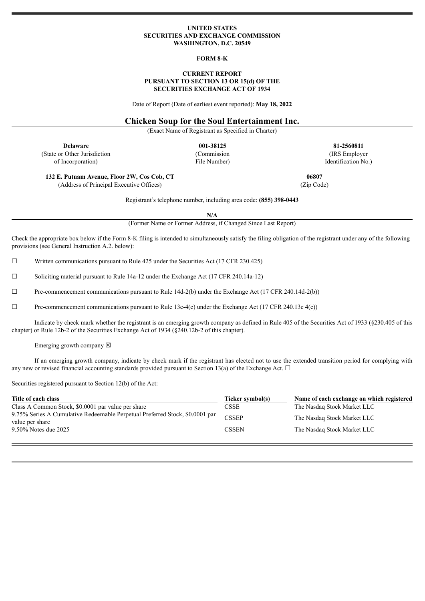#### **UNITED STATES SECURITIES AND EXCHANGE COMMISSION WASHINGTON, D.C. 20549**

#### **FORM 8-K**

#### **CURRENT REPORT PURSUANT TO SECTION 13 OR 15(d) OF THE SECURITIES EXCHANGE ACT OF 1934**

Date of Report (Date of earliest event reported): **May 18, 2022**

# **Chicken Soup for the Soul Entertainment Inc.**

(Exact Name of Registrant as Specified in Charter)

| <b>Delaware</b>                                                    | 001-38125    | 81-2560811          |  |  |  |  |
|--------------------------------------------------------------------|--------------|---------------------|--|--|--|--|
| (State or Other Jurisdiction)                                      | (Commission) | (IRS Employer)      |  |  |  |  |
| of Incorporation)                                                  | File Number) | Identification No.) |  |  |  |  |
| 132 E. Putnam Avenue, Floor 2W, Cos Cob, CT                        |              | 06807               |  |  |  |  |
| (Address of Principal Executive Offices)                           |              | (Zip Code)          |  |  |  |  |
| Registrant's telephone number, including area code: (855) 398-0443 |              |                     |  |  |  |  |

**N/A**

(Former Name or Former Address, if Changed Since Last Report)

Check the appropriate box below if the Form 8-K filing is intended to simultaneously satisfy the filing obligation of the registrant under any of the following provisions (see General Instruction A.2. below):

☐ Written communications pursuant to Rule 425 under the Securities Act (17 CFR 230.425)

☐ Soliciting material pursuant to Rule 14a-12 under the Exchange Act (17 CFR 240.14a-12)

☐ Pre-commencement communications pursuant to Rule 14d-2(b) under the Exchange Act (17 CFR 240.14d-2(b))

 $\Box$  Pre-commencement communications pursuant to Rule 13e-4(c) under the Exchange Act (17 CFR 240.13e 4(c))

Indicate by check mark whether the registrant is an emerging growth company as defined in Rule 405 of the Securities Act of 1933 (§230.405 of this chapter) or Rule 12b-2 of the Securities Exchange Act of 1934 (§240.12b-2 of this chapter).

Emerging growth company  $\boxtimes$ 

If an emerging growth company, indicate by check mark if the registrant has elected not to use the extended transition period for complying with any new or revised financial accounting standards provided pursuant to Section 13(a) of the Exchange Act.  $\Box$ 

Securities registered pursuant to Section 12(b) of the Act:

| Title of each class                                                                             | Ticker symbol(s) | Name of each exchange on which registered |
|-------------------------------------------------------------------------------------------------|------------------|-------------------------------------------|
| Class A Common Stock, \$0.0001 par value per share                                              | CSSE             | The Nasdag Stock Market LLC               |
| 9.75% Series A Cumulative Redeemable Perpetual Preferred Stock, \$0.0001 par<br>value per share | <b>CSSEP</b>     | The Nasdag Stock Market LLC               |
| 9.50% Notes due 2025                                                                            | <b>CSSEN</b>     | The Nasdaq Stock Market LLC               |
|                                                                                                 |                  |                                           |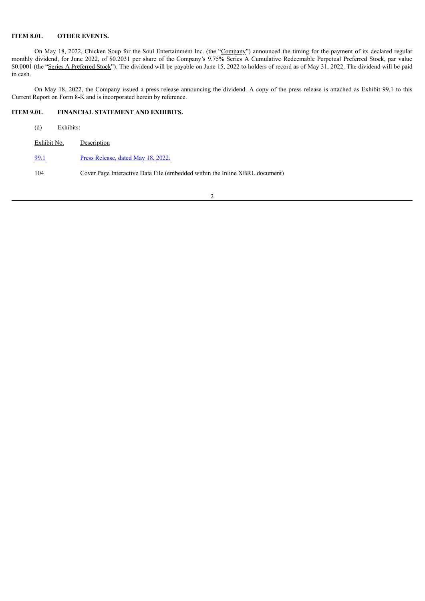## **ITEM 8.01. OTHER EVENTS.**

On May 18, 2022, Chicken Soup for the Soul Entertainment Inc. (the "Company") announced the timing for the payment of its declared regular monthly dividend, for June 2022, of \$0.2031 per share of the Company's 9.75% Series A Cumulative Redeemable Perpetual Preferred Stock, par value \$0.0001 (the "Series A Preferred Stock"). The dividend will be payable on June 15, 2022 to holders of record as of May 31, 2022. The dividend will be paid in cash.

On May 18, 2022, the Company issued a press release announcing the dividend. A copy of the press release is attached as Exhibit 99.1 to this Current Report on Form 8-K and is incorporated herein by reference.

## **ITEM 9.01. FINANCIAL STATEMENT AND EXHIBITS.**

| (d)         | Exhibits: |                                                                             |
|-------------|-----------|-----------------------------------------------------------------------------|
| Exhibit No. |           | Description                                                                 |
| 99.1        |           | Press Release, dated May 18, 2022.                                          |
| 104         |           | Cover Page Interactive Data File (embedded within the Inline XBRL document) |
|             |           |                                                                             |

2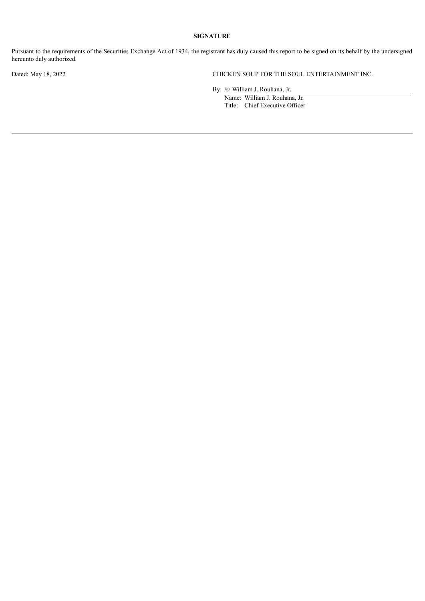# **SIGNATURE**

Pursuant to the requirements of the Securities Exchange Act of 1934, the registrant has duly caused this report to be signed on its behalf by the undersigned hereunto duly authorized.

Dated: May 18, 2022 CHICKEN SOUP FOR THE SOUL ENTERTAINMENT INC.

By: /s/ William J. Rouhana, Jr.

Name: William J. Rouhana, Jr. Title: Chief Executive Officer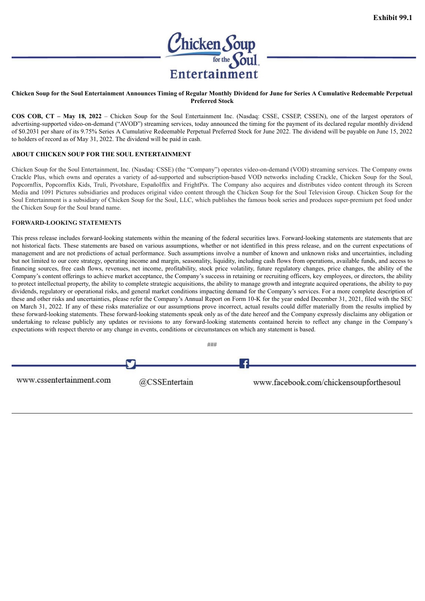

#### <span id="page-3-0"></span>Chicken Soup for the Soul Entertainment Announces Timing of Regular Monthly Dividend for June for Series A Cumulative Redeemable Perpetual **Preferred Stock**

**COS COB, CT – May 18, 2022** – Chicken Soup for the Soul Entertainment Inc. (Nasdaq: CSSE, CSSEP, CSSEN), one of the largest operators of advertising-supported video-on-demand ("AVOD") streaming services, today announced the timing for the payment of its declared regular monthly dividend of \$0.2031 per share of its 9.75% Series A Cumulative Redeemable Perpetual Preferred Stock for June 2022. The dividend will be payable on June 15, 2022 to holders of record as of May 31, 2022. The dividend will be paid in cash.

## **ABOUT CHICKEN SOUP FOR THE SOUL ENTERTAINMENT**

Chicken Soup for the Soul Entertainment, Inc. (Nasdaq: CSSE) (the "Company") operates video-on-demand (VOD) streaming services. The Company owns Crackle Plus, which owns and operates a variety of ad-supported and subscription-based VOD networks including Crackle, Chicken Soup for the Soul, Popcornflix, Popcornflix Kids, Truli, Pivotshare, Españolflix and FrightPix. The Company also acquires and distributes video content through its Screen Media and 1091 Pictures subsidiaries and produces original video content through the Chicken Soup for the Soul Television Group. Chicken Soup for the Soul Entertainment is a subsidiary of Chicken Soup for the Soul, LLC, which publishes the famous book series and produces super-premium pet food under the Chicken Soup for the Soul brand name.

## **FORWARD-LOOKING STATEMENTS**

This press release includes forward-looking statements within the meaning of the federal securities laws. Forward-looking statements are statements that are not historical facts. These statements are based on various assumptions, whether or not identified in this press release, and on the current expectations of management and are not predictions of actual performance. Such assumptions involve a number of known and unknown risks and uncertainties, including but not limited to our core strategy, operating income and margin, seasonality, liquidity, including cash flows from operations, available funds, and access to financing sources, free cash flows, revenues, net income, profitability, stock price volatility, future regulatory changes, price changes, the ability of the Company's content offerings to achieve market acceptance, the Company's success in retaining or recruiting officers, key employees, or directors, the ability to protect intellectual property, the ability to complete strategic acquisitions, the ability to manage growth and integrate acquired operations, the ability to pay dividends, regulatory or operational risks, and general market conditions impacting demand for the Company's services. For a more complete description of these and other risks and uncertainties, please refer the Company's Annual Report on Form 10-K for the year ended December 31, 2021, filed with the SEC on March 31, 2022. If any of these risks materialize or our assumptions prove incorrect, actual results could differ materially from the results implied by these forward-looking statements. These forward-looking statements speak only as of the date hereof and the Company expressly disclaims any obligation or undertaking to release publicly any updates or revisions to any forward-looking statements contained herein to reflect any change in the Company's expectations with respect thereto or any change in events, conditions or circumstances on which any statement is based.